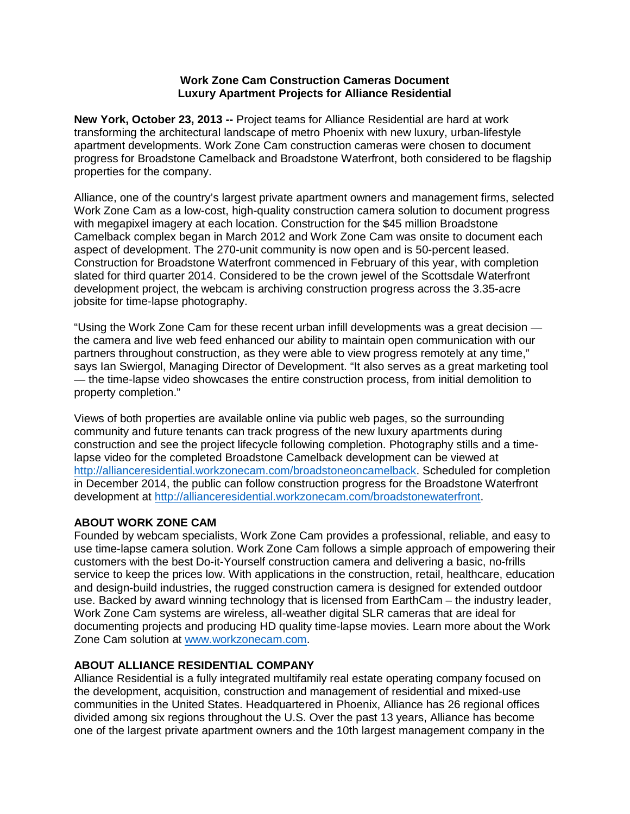## **Work Zone Cam Construction Cameras Document Luxury Apartment Projects for Alliance Residential**

**New York, October 23, 2013 --** Project teams for Alliance Residential are hard at work transforming the architectural landscape of metro Phoenix with new luxury, urban-lifestyle apartment developments. Work Zone Cam construction cameras were chosen to document progress for Broadstone Camelback and Broadstone Waterfront, both considered to be flagship properties for the company.

Alliance, one of the country's largest private apartment owners and management firms, selected Work Zone Cam as a low-cost, high-quality construction camera solution to document progress with megapixel imagery at each location. Construction for the \$45 million Broadstone Camelback complex began in March 2012 and Work Zone Cam was onsite to document each aspect of development. The 270-unit community is now open and is 50-percent leased. Construction for Broadstone Waterfront commenced in February of this year, with completion slated for third quarter 2014. Considered to be the crown jewel of the Scottsdale Waterfront development project, the webcam is archiving construction progress across the 3.35-acre jobsite for time-lapse photography.

"Using the Work Zone Cam for these recent urban infill developments was a great decision the camera and live web feed enhanced our ability to maintain open communication with our partners throughout construction, as they were able to view progress remotely at any time," says Ian Swiergol, Managing Director of Development. "It also serves as a great marketing tool — the time-lapse video showcases the entire construction process, from initial demolition to property completion."

Views of both properties are available online via public web pages, so the surrounding community and future tenants can track progress of the new luxury apartments during construction and see the project lifecycle following completion. Photography stills and a timelapse video for the completed Broadstone Camelback development can be viewed at http://allianceresidential.workzonecam.com/broadstoneoncamelback. Scheduled for completion in December 2014, the public can follow construction progress for the Broadstone Waterfront development at http://allianceresidential.workzonecam.com/broadstonewaterfront.

## **ABOUT WORK ZONE CAM**

Founded by webcam specialists, Work Zone Cam provides a professional, reliable, and easy to use time-lapse camera solution. Work Zone Cam follows a simple approach of empowering their customers with the best Do-it-Yourself construction camera and delivering a basic, no-frills service to keep the prices low. With applications in the construction, retail, healthcare, education and design-build industries, the rugged construction camera is designed for extended outdoor use. Backed by award winning technology that is licensed from EarthCam – the industry leader, Work Zone Cam systems are wireless, all-weather digital SLR cameras that are ideal for documenting projects and producing HD quality time-lapse movies. Learn more about the Work Zone Cam solution at www.workzonecam.com.

## **ABOUT ALLIANCE RESIDENTIAL COMPANY**

Alliance Residential is a fully integrated multifamily real estate operating company focused on the development, acquisition, construction and management of residential and mixed-use communities in the United States. Headquartered in Phoenix, Alliance has 26 regional offices divided among six regions throughout the U.S. Over the past 13 years, Alliance has become one of the largest private apartment owners and the 10th largest management company in the